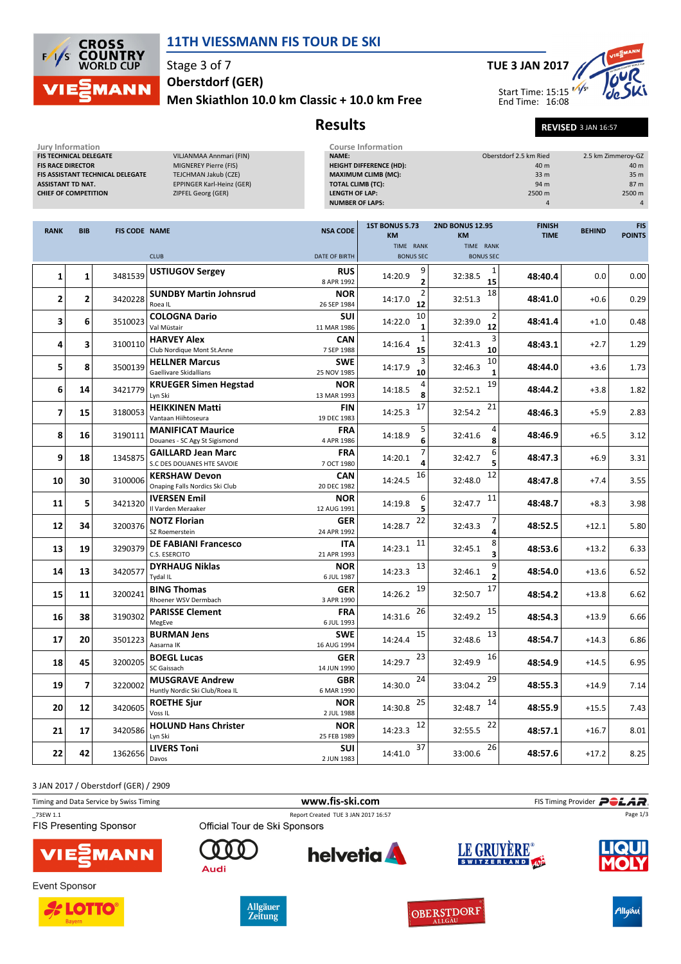

## 11TH VIESSMANN FIS TOUR DE SKI

Stage 3 of 7 Oberstdorf (GER)

Men Skiathlon 10.0 km Classic + 10.0 km Free



Results Revised 3 JAN 16:57

Jury Information<br>FIS TECHNICAL DELEGATE FIS TECHNICAL DELEGATE VILJANMAA Annmari (FIN)<br>FIS RACE DIRECTOR MIGNEREY Pierre (FIS) FIS ASSISTANT TECHNICAL DELEGATE<br>ASSISTANT TD NAT. CHIEF OF COMPETITION

MIGNEREY Pierre (FIS)<br>TEJCHMAN Jakub (CZE) EPPINGER Karl-Heinz (GER)<br>The Separation (GER)

## Course Information<br>
NAME: 2.5 km Ried 2.5 km Zimmeroy-GZ<br>
HEIGHT DIFFERENCE (HD): 2.5 km 2inmeroy-GZ HEIGHT DIFFERENCE (HD):<br>
HEIGHT DIFFERENCE (HD): 40 m<br>
MAXIMUM CLIMB (MC): 33 m 35 m 35 m MAXIMUM CLIMB (MC):<br>
MAXIMUM CLIMB (MC):<br>
TOTAL CLIMB (TC): 33 m<br>
33 m<br>
33 m<br>
33 m<br>
33 m<br>
35 m TOTAL CLIMB (TC): 94 m 87 m LENGTH OF LAP: NUMBER OF LAPS: 4 4

| TIME RANK<br>TIME RANK<br><b>CLUB</b><br>DATE OF BIRTH<br><b>BONUS SEC</b><br><b>BONUS SEC</b><br>9<br><b>USTIUGOV Sergey</b><br><b>RUS</b><br>1<br>3481539<br>1<br>1<br>14:20.9<br>48:40.4<br>0.0<br>32:38.5<br>8 APR 1992<br>15<br>$\overline{2}$<br>18<br><b>SUNDBY Martin Johnsrud</b><br>2<br><b>NOR</b><br>$\overline{2}$<br>$\overline{2}$<br>3420228<br>14:17.0<br>32:51.3<br>48:41.0<br>$+0.6$<br>12<br>Roea IL<br>26 SEP 1984<br><b>COLOGNA Dario</b><br>SUI<br>10<br>3<br>6<br>48:41.4<br>3510023<br>14:22.0<br>32:39.0<br>$+1.0$<br>Val Müstair<br>12<br>11 MAR 1986<br>3<br><b>HARVEY Alex</b><br>$\mathbf{1}$<br><b>CAN</b><br>4<br>3<br>48:43.1<br>3100110<br>14:16.4<br>32:41.3<br>$+2.7$<br>15<br>10<br>Club Nordique Mont St.Anne<br>7 SEP 1988<br>10<br><b>SWE</b><br><b>HELLNER Marcus</b><br>3<br>5<br>8<br>3500139<br>14:17.9<br>32:46.3<br>48:44.0<br>$+3.6$<br>10<br>Gaellivare Skidallians<br>25 NOV 1985<br>$\mathbf{1}$<br>19<br><b>KRUEGER Simen Hegstad</b><br><b>NOR</b><br>3421779<br>6<br>14<br>14:18.5<br>32:52.1<br>48:44.2<br>$+3.8$<br>8<br>Lyn Ski<br>13 MAR 1993<br>17<br>21<br><b>HEIKKINEN Matti</b><br><b>FIN</b><br>$\overline{7}$<br>15<br>3180053<br>14:25.3<br>32:54.2<br>$+5.9$<br>48:46.3<br>Vantaan Hiihtoseura<br>19 DEC 1983<br><b>MANIFICAT Maurice</b><br><b>FRA</b><br>5<br>4<br>3190111<br>8<br>16<br>14:18.9<br>32:41.6<br>48:46.9<br>$+6.5$<br>8<br>Douanes - SC Agy St Sigismond<br>4 APR 1986<br>6<br>6<br><b>GAILLARD Jean Marc</b><br><b>FRA</b><br>9<br>18<br>1345875<br>14:20.1<br>32:42.7<br>48:47.3<br>$+6.9$<br>S.C DES DOUANES HTE SAVOIE<br>7 OCT 1980<br>16<br>12<br><b>KERSHAW Devon</b><br><b>CAN</b><br>3100006<br>14:24.5<br>32:48.0<br>10<br>30<br>48:47.8<br>$+7.4$<br>20 DEC 1982<br>Onaping Falls Nordics Ski Club<br>11<br><b>IVERSEN Emil</b><br><b>NOR</b><br>6<br>5<br>3421320<br>11<br>14:19.8<br>32:47.7<br>48:48.7<br>$+8.3$<br>5<br>Il Varden Meraaker<br>12 AUG 1991<br>22<br><b>NOTZ Florian</b><br><b>GER</b><br>14:28.7<br>12<br>34<br>3200376<br>32:43.3<br>48:52.5<br>$+12.1$<br>SZ Roemerstein<br>24 APR 1992<br>8<br><b>DE FABIANI Francesco</b><br><b>ITA</b><br>11<br>13<br>19<br>3290379<br>14:23.1<br>32:45.1<br>48:53.6<br>$+13.2$<br>C.S. ESERCITO<br>21 APR 1993<br>٩<br><b>DYRHAUG Niklas</b><br>9<br><b>NOR</b><br>13<br>14<br>3420577<br>14:23.3<br>13<br>32:46.1<br>48:54.0<br>$+13.6$<br><b>Tydal IL</b><br>6 JUL 1987<br>17<br>19<br><b>BING Thomas</b><br><b>GER</b><br>15<br>11<br>3200241<br>14:26.2<br>32:50.7<br>48:54.2<br>$+13.8$<br>Rhoener WSV Dermbach<br>3 APR 1990<br><b>PARISSE Clement</b><br><b>FRA</b><br>26<br>15<br>14:31.6<br>32:49.2<br>16<br>38<br>3190302<br>48:54.3<br>$+13.9$<br>MegEve<br>6 JUL 1993<br><b>BURMAN Jens</b><br>15<br>13<br><b>SWE</b><br>17<br>20<br>48:54.7<br>3501223<br>14:24.4<br>32:48.6<br>$+14.3$<br>Aasarna IK<br>16 AUG 1994<br><b>BOEGL Lucas</b><br><b>GER</b><br>23<br>16<br>3200205<br>18<br>45<br>14:29.7<br>32:49.9<br>$+14.5$<br>48:54.9<br>SC Gaissach<br>14 JUN 1990<br>29<br><b>MUSGRAVE Andrew</b><br><b>GBR</b><br>24<br>7<br>14:30.0<br>19<br>3220002<br>33:04.2<br>48:55.3<br>$+14.9$<br>Huntly Nordic Ski Club/Roea IL<br>6 MAR 1990<br><b>NOR</b><br>25<br>14<br><b>ROETHE Sjur</b><br>3420605<br>14:30.8<br>32:48.7<br>12<br>20<br>48:55.9<br>$+15.5$<br>Voss <sub>IL</sub><br>2 JUL 1988<br><b>HOLUND Hans Christer</b><br><b>NOR</b><br>22<br>12<br>14:23.3<br>32:55.5<br>3420586<br>21<br>17<br>48:57.1<br>$+16.7$<br>Lyn Ski<br>25 FEB 1989<br><b>LIVERS Toni</b><br>SUI<br>37<br>26<br>22<br>42<br>1362656<br>14:41.0<br>33:00.6<br>48:57.6<br>$+17.2$<br>2 JUN 1983<br>Davos | <b>RANK</b> | <b>BIB</b> | <b>FIS CODE NAME</b> | <b>NSA CODE</b> | <b>1ST BONUS 5.73</b><br><b>KM</b> | <b>2ND BONUS 12.95</b><br><b>KM</b> | <b>FINISH</b><br><b>TIME</b> | <b>BEHIND</b> | <b>FIS</b><br><b>POINTS</b> |
|---------------------------------------------------------------------------------------------------------------------------------------------------------------------------------------------------------------------------------------------------------------------------------------------------------------------------------------------------------------------------------------------------------------------------------------------------------------------------------------------------------------------------------------------------------------------------------------------------------------------------------------------------------------------------------------------------------------------------------------------------------------------------------------------------------------------------------------------------------------------------------------------------------------------------------------------------------------------------------------------------------------------------------------------------------------------------------------------------------------------------------------------------------------------------------------------------------------------------------------------------------------------------------------------------------------------------------------------------------------------------------------------------------------------------------------------------------------------------------------------------------------------------------------------------------------------------------------------------------------------------------------------------------------------------------------------------------------------------------------------------------------------------------------------------------------------------------------------------------------------------------------------------------------------------------------------------------------------------------------------------------------------------------------------------------------------------------------------------------------------------------------------------------------------------------------------------------------------------------------------------------------------------------------------------------------------------------------------------------------------------------------------------------------------------------------------------------------------------------------------------------------------------------------------------------------------------------------------------------------------------------------------------------------------------------------------------------------------------------------------------------------------------------------------------------------------------------------------------------------------------------------------------------------------------------------------------------------------------------------------------------------------------------------------------------------------------------------------------------------------------------------------------------------------------------------------------------------------------------------------------------------------------------------------------------------------------------------------------------------------------------------------------------------------------------------------------------------------------------------------------------------------------------------------------------------------------------------------------------------------------------------------------------------|-------------|------------|----------------------|-----------------|------------------------------------|-------------------------------------|------------------------------|---------------|-----------------------------|
|                                                                                                                                                                                                                                                                                                                                                                                                                                                                                                                                                                                                                                                                                                                                                                                                                                                                                                                                                                                                                                                                                                                                                                                                                                                                                                                                                                                                                                                                                                                                                                                                                                                                                                                                                                                                                                                                                                                                                                                                                                                                                                                                                                                                                                                                                                                                                                                                                                                                                                                                                                                                                                                                                                                                                                                                                                                                                                                                                                                                                                                                                                                                                                                                                                                                                                                                                                                                                                                                                                                                                                                                                                                               |             |            |                      |                 |                                    |                                     |                              |               |                             |
|                                                                                                                                                                                                                                                                                                                                                                                                                                                                                                                                                                                                                                                                                                                                                                                                                                                                                                                                                                                                                                                                                                                                                                                                                                                                                                                                                                                                                                                                                                                                                                                                                                                                                                                                                                                                                                                                                                                                                                                                                                                                                                                                                                                                                                                                                                                                                                                                                                                                                                                                                                                                                                                                                                                                                                                                                                                                                                                                                                                                                                                                                                                                                                                                                                                                                                                                                                                                                                                                                                                                                                                                                                                               |             |            |                      |                 |                                    |                                     |                              |               | 0.00                        |
|                                                                                                                                                                                                                                                                                                                                                                                                                                                                                                                                                                                                                                                                                                                                                                                                                                                                                                                                                                                                                                                                                                                                                                                                                                                                                                                                                                                                                                                                                                                                                                                                                                                                                                                                                                                                                                                                                                                                                                                                                                                                                                                                                                                                                                                                                                                                                                                                                                                                                                                                                                                                                                                                                                                                                                                                                                                                                                                                                                                                                                                                                                                                                                                                                                                                                                                                                                                                                                                                                                                                                                                                                                                               |             |            |                      |                 |                                    |                                     |                              |               | 0.29                        |
|                                                                                                                                                                                                                                                                                                                                                                                                                                                                                                                                                                                                                                                                                                                                                                                                                                                                                                                                                                                                                                                                                                                                                                                                                                                                                                                                                                                                                                                                                                                                                                                                                                                                                                                                                                                                                                                                                                                                                                                                                                                                                                                                                                                                                                                                                                                                                                                                                                                                                                                                                                                                                                                                                                                                                                                                                                                                                                                                                                                                                                                                                                                                                                                                                                                                                                                                                                                                                                                                                                                                                                                                                                                               |             |            |                      |                 |                                    |                                     |                              |               | 0.48                        |
|                                                                                                                                                                                                                                                                                                                                                                                                                                                                                                                                                                                                                                                                                                                                                                                                                                                                                                                                                                                                                                                                                                                                                                                                                                                                                                                                                                                                                                                                                                                                                                                                                                                                                                                                                                                                                                                                                                                                                                                                                                                                                                                                                                                                                                                                                                                                                                                                                                                                                                                                                                                                                                                                                                                                                                                                                                                                                                                                                                                                                                                                                                                                                                                                                                                                                                                                                                                                                                                                                                                                                                                                                                                               |             |            |                      |                 |                                    |                                     |                              |               | 1.29                        |
|                                                                                                                                                                                                                                                                                                                                                                                                                                                                                                                                                                                                                                                                                                                                                                                                                                                                                                                                                                                                                                                                                                                                                                                                                                                                                                                                                                                                                                                                                                                                                                                                                                                                                                                                                                                                                                                                                                                                                                                                                                                                                                                                                                                                                                                                                                                                                                                                                                                                                                                                                                                                                                                                                                                                                                                                                                                                                                                                                                                                                                                                                                                                                                                                                                                                                                                                                                                                                                                                                                                                                                                                                                                               |             |            |                      |                 |                                    |                                     |                              |               | 1.73                        |
|                                                                                                                                                                                                                                                                                                                                                                                                                                                                                                                                                                                                                                                                                                                                                                                                                                                                                                                                                                                                                                                                                                                                                                                                                                                                                                                                                                                                                                                                                                                                                                                                                                                                                                                                                                                                                                                                                                                                                                                                                                                                                                                                                                                                                                                                                                                                                                                                                                                                                                                                                                                                                                                                                                                                                                                                                                                                                                                                                                                                                                                                                                                                                                                                                                                                                                                                                                                                                                                                                                                                                                                                                                                               |             |            |                      |                 |                                    |                                     |                              |               | 1.82                        |
|                                                                                                                                                                                                                                                                                                                                                                                                                                                                                                                                                                                                                                                                                                                                                                                                                                                                                                                                                                                                                                                                                                                                                                                                                                                                                                                                                                                                                                                                                                                                                                                                                                                                                                                                                                                                                                                                                                                                                                                                                                                                                                                                                                                                                                                                                                                                                                                                                                                                                                                                                                                                                                                                                                                                                                                                                                                                                                                                                                                                                                                                                                                                                                                                                                                                                                                                                                                                                                                                                                                                                                                                                                                               |             |            |                      |                 |                                    |                                     |                              |               | 2.83                        |
|                                                                                                                                                                                                                                                                                                                                                                                                                                                                                                                                                                                                                                                                                                                                                                                                                                                                                                                                                                                                                                                                                                                                                                                                                                                                                                                                                                                                                                                                                                                                                                                                                                                                                                                                                                                                                                                                                                                                                                                                                                                                                                                                                                                                                                                                                                                                                                                                                                                                                                                                                                                                                                                                                                                                                                                                                                                                                                                                                                                                                                                                                                                                                                                                                                                                                                                                                                                                                                                                                                                                                                                                                                                               |             |            |                      |                 |                                    |                                     |                              |               | 3.12                        |
|                                                                                                                                                                                                                                                                                                                                                                                                                                                                                                                                                                                                                                                                                                                                                                                                                                                                                                                                                                                                                                                                                                                                                                                                                                                                                                                                                                                                                                                                                                                                                                                                                                                                                                                                                                                                                                                                                                                                                                                                                                                                                                                                                                                                                                                                                                                                                                                                                                                                                                                                                                                                                                                                                                                                                                                                                                                                                                                                                                                                                                                                                                                                                                                                                                                                                                                                                                                                                                                                                                                                                                                                                                                               |             |            |                      |                 |                                    |                                     |                              |               | 3.31                        |
|                                                                                                                                                                                                                                                                                                                                                                                                                                                                                                                                                                                                                                                                                                                                                                                                                                                                                                                                                                                                                                                                                                                                                                                                                                                                                                                                                                                                                                                                                                                                                                                                                                                                                                                                                                                                                                                                                                                                                                                                                                                                                                                                                                                                                                                                                                                                                                                                                                                                                                                                                                                                                                                                                                                                                                                                                                                                                                                                                                                                                                                                                                                                                                                                                                                                                                                                                                                                                                                                                                                                                                                                                                                               |             |            |                      |                 |                                    |                                     |                              |               | 3.55                        |
|                                                                                                                                                                                                                                                                                                                                                                                                                                                                                                                                                                                                                                                                                                                                                                                                                                                                                                                                                                                                                                                                                                                                                                                                                                                                                                                                                                                                                                                                                                                                                                                                                                                                                                                                                                                                                                                                                                                                                                                                                                                                                                                                                                                                                                                                                                                                                                                                                                                                                                                                                                                                                                                                                                                                                                                                                                                                                                                                                                                                                                                                                                                                                                                                                                                                                                                                                                                                                                                                                                                                                                                                                                                               |             |            |                      |                 |                                    |                                     |                              |               | 3.98                        |
|                                                                                                                                                                                                                                                                                                                                                                                                                                                                                                                                                                                                                                                                                                                                                                                                                                                                                                                                                                                                                                                                                                                                                                                                                                                                                                                                                                                                                                                                                                                                                                                                                                                                                                                                                                                                                                                                                                                                                                                                                                                                                                                                                                                                                                                                                                                                                                                                                                                                                                                                                                                                                                                                                                                                                                                                                                                                                                                                                                                                                                                                                                                                                                                                                                                                                                                                                                                                                                                                                                                                                                                                                                                               |             |            |                      |                 |                                    |                                     |                              |               | 5.80                        |
|                                                                                                                                                                                                                                                                                                                                                                                                                                                                                                                                                                                                                                                                                                                                                                                                                                                                                                                                                                                                                                                                                                                                                                                                                                                                                                                                                                                                                                                                                                                                                                                                                                                                                                                                                                                                                                                                                                                                                                                                                                                                                                                                                                                                                                                                                                                                                                                                                                                                                                                                                                                                                                                                                                                                                                                                                                                                                                                                                                                                                                                                                                                                                                                                                                                                                                                                                                                                                                                                                                                                                                                                                                                               |             |            |                      |                 |                                    |                                     |                              |               | 6.33                        |
|                                                                                                                                                                                                                                                                                                                                                                                                                                                                                                                                                                                                                                                                                                                                                                                                                                                                                                                                                                                                                                                                                                                                                                                                                                                                                                                                                                                                                                                                                                                                                                                                                                                                                                                                                                                                                                                                                                                                                                                                                                                                                                                                                                                                                                                                                                                                                                                                                                                                                                                                                                                                                                                                                                                                                                                                                                                                                                                                                                                                                                                                                                                                                                                                                                                                                                                                                                                                                                                                                                                                                                                                                                                               |             |            |                      |                 |                                    |                                     |                              |               | 6.52                        |
|                                                                                                                                                                                                                                                                                                                                                                                                                                                                                                                                                                                                                                                                                                                                                                                                                                                                                                                                                                                                                                                                                                                                                                                                                                                                                                                                                                                                                                                                                                                                                                                                                                                                                                                                                                                                                                                                                                                                                                                                                                                                                                                                                                                                                                                                                                                                                                                                                                                                                                                                                                                                                                                                                                                                                                                                                                                                                                                                                                                                                                                                                                                                                                                                                                                                                                                                                                                                                                                                                                                                                                                                                                                               |             |            |                      |                 |                                    |                                     |                              |               | 6.62                        |
|                                                                                                                                                                                                                                                                                                                                                                                                                                                                                                                                                                                                                                                                                                                                                                                                                                                                                                                                                                                                                                                                                                                                                                                                                                                                                                                                                                                                                                                                                                                                                                                                                                                                                                                                                                                                                                                                                                                                                                                                                                                                                                                                                                                                                                                                                                                                                                                                                                                                                                                                                                                                                                                                                                                                                                                                                                                                                                                                                                                                                                                                                                                                                                                                                                                                                                                                                                                                                                                                                                                                                                                                                                                               |             |            |                      |                 |                                    |                                     |                              |               | 6.66                        |
|                                                                                                                                                                                                                                                                                                                                                                                                                                                                                                                                                                                                                                                                                                                                                                                                                                                                                                                                                                                                                                                                                                                                                                                                                                                                                                                                                                                                                                                                                                                                                                                                                                                                                                                                                                                                                                                                                                                                                                                                                                                                                                                                                                                                                                                                                                                                                                                                                                                                                                                                                                                                                                                                                                                                                                                                                                                                                                                                                                                                                                                                                                                                                                                                                                                                                                                                                                                                                                                                                                                                                                                                                                                               |             |            |                      |                 |                                    |                                     |                              |               | 6.86                        |
|                                                                                                                                                                                                                                                                                                                                                                                                                                                                                                                                                                                                                                                                                                                                                                                                                                                                                                                                                                                                                                                                                                                                                                                                                                                                                                                                                                                                                                                                                                                                                                                                                                                                                                                                                                                                                                                                                                                                                                                                                                                                                                                                                                                                                                                                                                                                                                                                                                                                                                                                                                                                                                                                                                                                                                                                                                                                                                                                                                                                                                                                                                                                                                                                                                                                                                                                                                                                                                                                                                                                                                                                                                                               |             |            |                      |                 |                                    |                                     |                              |               | 6.95                        |
|                                                                                                                                                                                                                                                                                                                                                                                                                                                                                                                                                                                                                                                                                                                                                                                                                                                                                                                                                                                                                                                                                                                                                                                                                                                                                                                                                                                                                                                                                                                                                                                                                                                                                                                                                                                                                                                                                                                                                                                                                                                                                                                                                                                                                                                                                                                                                                                                                                                                                                                                                                                                                                                                                                                                                                                                                                                                                                                                                                                                                                                                                                                                                                                                                                                                                                                                                                                                                                                                                                                                                                                                                                                               |             |            |                      |                 |                                    |                                     |                              |               | 7.14                        |
|                                                                                                                                                                                                                                                                                                                                                                                                                                                                                                                                                                                                                                                                                                                                                                                                                                                                                                                                                                                                                                                                                                                                                                                                                                                                                                                                                                                                                                                                                                                                                                                                                                                                                                                                                                                                                                                                                                                                                                                                                                                                                                                                                                                                                                                                                                                                                                                                                                                                                                                                                                                                                                                                                                                                                                                                                                                                                                                                                                                                                                                                                                                                                                                                                                                                                                                                                                                                                                                                                                                                                                                                                                                               |             |            |                      |                 |                                    |                                     |                              |               | 7.43                        |
|                                                                                                                                                                                                                                                                                                                                                                                                                                                                                                                                                                                                                                                                                                                                                                                                                                                                                                                                                                                                                                                                                                                                                                                                                                                                                                                                                                                                                                                                                                                                                                                                                                                                                                                                                                                                                                                                                                                                                                                                                                                                                                                                                                                                                                                                                                                                                                                                                                                                                                                                                                                                                                                                                                                                                                                                                                                                                                                                                                                                                                                                                                                                                                                                                                                                                                                                                                                                                                                                                                                                                                                                                                                               |             |            |                      |                 |                                    |                                     |                              |               | 8.01                        |
|                                                                                                                                                                                                                                                                                                                                                                                                                                                                                                                                                                                                                                                                                                                                                                                                                                                                                                                                                                                                                                                                                                                                                                                                                                                                                                                                                                                                                                                                                                                                                                                                                                                                                                                                                                                                                                                                                                                                                                                                                                                                                                                                                                                                                                                                                                                                                                                                                                                                                                                                                                                                                                                                                                                                                                                                                                                                                                                                                                                                                                                                                                                                                                                                                                                                                                                                                                                                                                                                                                                                                                                                                                                               |             |            |                      |                 |                                    |                                     |                              |               | 8.25                        |

3 JAN 2017 / Oberstdorf (GER) / 2909

| Timing and Data Service by Swiss Timing |                               | www.fis-ski.com                     |             | FIS Timing Provider <b>POLAR</b> |
|-----------------------------------------|-------------------------------|-------------------------------------|-------------|----------------------------------|
| 73EW 1.1                                |                               | Report Created TUE 3 JAN 2017 16:57 |             | Page 1/3                         |
| <b>FIS Presenting Sponsor</b>           | Official Tour de Ski Sponsors |                                     |             |                                  |
| <b>VIE MANN</b>                         | Audi                          | <b>helvetia</b>                     | LE GRUYÈRE® | <b>SECOLUL</b>                   |









OBERSTDORF

Allgäu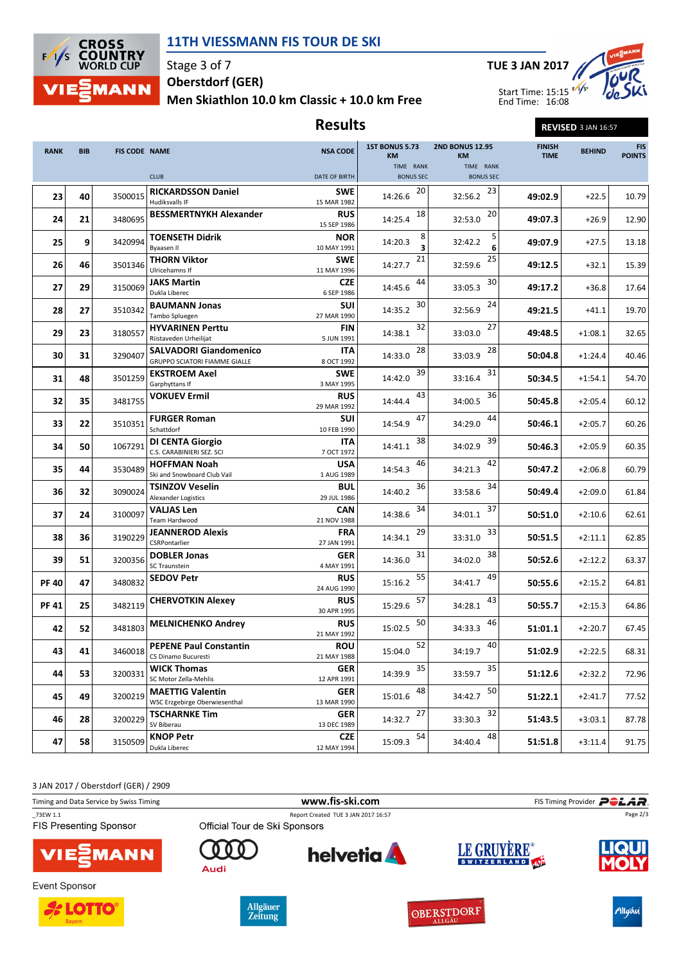

## 11TH VIESSMANN FIS TOUR DE SKI

Stage 3 of 7 Men Skiathlon 10.0 km Classic + 10.0 km Free Oberstdorf (GER)



Results REVISED 3 JAN 16:57

| <b>RANK</b> | <b>BIB</b> | <b>FIS CODE NAME</b> |                                                                       | <b>NSA CODE</b>           | <b>1ST BONUS 5.73</b><br><b>KM</b> | <b>2ND BONUS 12.95</b><br>KM  | <b>FINISH</b><br><b>TIME</b> | <b>BEHIND</b> | <b>FIS</b><br><b>POINTS</b> |
|-------------|------------|----------------------|-----------------------------------------------------------------------|---------------------------|------------------------------------|-------------------------------|------------------------------|---------------|-----------------------------|
|             |            |                      | <b>CLUB</b>                                                           | DATE OF BIRTH             | TIME RANK<br><b>BONUS SEC</b>      | TIME RANK<br><b>BONUS SEC</b> |                              |               |                             |
|             |            |                      |                                                                       |                           |                                    |                               |                              |               |                             |
| 23          | 40         | 3500015              | <b>RICKARDSSON Daniel</b><br>Hudiksvalls IF                           | <b>SWE</b><br>15 MAR 1982 | 20<br>14:26.6                      | 23<br>32:56.2                 | 49:02.9                      | $+22.5$       | 10.79                       |
| 24          | 21         | 3480695              | <b>BESSMERTNYKH Alexander</b>                                         | <b>RUS</b><br>15 SEP 1986 | 18<br>14:25.4                      | 20<br>32:53.0                 | 49:07.3                      | $+26.9$       | 12.90                       |
| 25          | 9          | 3420994              | <b>TOENSETH Didrik</b><br><b>Byaasen II</b>                           | <b>NOR</b><br>10 MAY 1991 | 8<br>14:20.3<br>3                  | 5<br>32:42.2<br>6             | 49:07.9                      | $+27.5$       | 13.18                       |
| 26          | 46         | 3501346              | <b>THORN Viktor</b><br>Ulricehamns If                                 | <b>SWE</b><br>11 MAY 1996 | 21<br>14:27.7                      | 25<br>32:59.6                 | 49:12.5                      | $+32.1$       | 15.39                       |
| 27          | 29         | 3150069              | <b>JAKS Martin</b>                                                    | <b>CZE</b>                | 44<br>14:45.6                      | 30<br>33:05.3                 | 49:17.2                      | $+36.8$       | 17.64                       |
|             |            |                      | Dukla Liberec                                                         | 6 SEP 1986                |                                    |                               |                              |               |                             |
| 28          | 27         | 3510342              | <b>BAUMANN Jonas</b><br>Tambo Spluegen                                | <b>SUI</b><br>27 MAR 1990 | 30<br>14:35.2                      | 24<br>32:56.9                 | 49:21.5                      | $+41.1$       | 19.70                       |
|             |            |                      | <b>HYVARINEN Perttu</b>                                               | FIN                       | 32                                 | 27                            |                              |               | 32.65                       |
| 29          | 23         | 3180557              | Riistaveden Urheilijat                                                | 5 JUN 1991                | 14:38.1                            | 33:03.0                       | 49:48.5                      | $+1:08.1$     |                             |
| 30          | 31         | 3290407              | <b>SALVADORI Giandomenico</b><br><b>GRUPPO SCIATORI FIAMME GIALLE</b> | ITA<br>8 OCT 1992         | 28<br>14:33.0                      | 28<br>33:03.9                 | 50:04.8                      | $+1:24.4$     | 40.46                       |
| 31          | 48         | 3501259              | <b>EKSTROEM Axel</b><br>Garphyttans If                                | <b>SWE</b><br>3 MAY 1995  | 39<br>14:42.0                      | 31<br>33:16.4                 | 50:34.5                      | $+1:54.1$     | 54.70                       |
| 32          | 35         | 3481755              | <b>VOKUEV Ermil</b>                                                   | <b>RUS</b><br>29 MAR 1992 | 43<br>14:44.4                      | 36<br>34:00.5                 | 50:45.8                      | $+2:05.4$     | 60.12                       |
| 33          | 22         | 3510351              | <b>FURGER Roman</b><br>Schattdorf                                     | <b>SUI</b><br>10 FEB 1990 | 47<br>14:54.9                      | 44<br>34:29.0                 | 50:46.1                      | $+2:05.7$     | 60.26                       |
| 34          | 50         | 1067291              | <b>DI CENTA Giorgio</b><br>C.S. CARABINIERI SEZ. SCI                  | ITA<br>7 OCT 1972         | 38<br>14:41.1                      | 39<br>34:02.9                 | 50:46.3                      | $+2:05.9$     | 60.35                       |
| 35          | 44         | 3530489              | <b>HOFFMAN Noah</b>                                                   | <b>USA</b>                | 46<br>14:54.3                      | 42<br>34:21.3                 | 50:47.2                      | $+2:06.8$     | 60.79                       |
|             |            |                      | Ski and Snowboard Club Vail                                           | 1 AUG 1989                |                                    |                               |                              |               |                             |
| 36          | 32         | 3090024              | TSINZOV Veselin<br><b>Alexander Logistics</b>                         | <b>BUL</b><br>29 JUL 1986 | 36<br>14:40.2                      | 34<br>33:58.6                 | 50:49.4                      | $+2:09.0$     | 61.84                       |
| 37          | 24         | 3100097              | <b>VALJAS Len</b><br><b>Team Hardwood</b>                             | <b>CAN</b><br>21 NOV 1988 | 34<br>14:38.6                      | 37<br>34:01.1                 | 50:51.0                      | $+2:10.6$     | 62.61                       |
| 38          | 36         | 3190229              | JEANNEROD Alexis<br>CSRPontarlier                                     | <b>FRA</b><br>27 JAN 1991 | 29<br>14:34.1                      | 33<br>33:31.0                 | 50:51.5                      | $+2:11.1$     | 62.85                       |
| 39          | 51         | 3200356              | <b>DOBLER Jonas</b><br><b>SC Traunstein</b>                           | <b>GER</b><br>4 MAY 1991  | 31<br>14:36.0                      | 38<br>34:02.0                 | 50:52.6                      | $+2:12.2$     | 63.37                       |
| <b>PF40</b> | 47         | 3480832              | <b>SEDOV Petr</b>                                                     | <b>RUS</b><br>24 AUG 1990 | 55<br>15:16.2                      | 49<br>34:41.7                 | 50:55.6                      | $+2:15.2$     | 64.81                       |
| PF 41       | 25         | 3482119              | <b>CHERVOTKIN Alexey</b>                                              | <b>RUS</b><br>30 APR 1995 | 57<br>15:29.6                      | 43<br>34:28.1                 | 50:55.7                      | $+2:15.3$     | 64.86                       |
| 42          | 52         | 3481803              | <b>MELNICHENKO Andrey</b>                                             | <b>RUS</b><br>21 MAY 1992 | 50<br>15:02.5                      | 46<br>34:33.3                 | 51:01.1                      | $+2:20.7$     | 67.45                       |
| 43          | 41         | 3460018              | <b>PEPENE Paul Constantin</b><br>CS Dinamo Bucuresti                  | <b>ROU</b><br>21 MAY 1988 | 52<br>15:04.0                      | 40<br>34:19.7                 | 51:02.9                      | $+2:22.5$     | 68.31                       |
| 44          | 53         | 3200331              | <b>WICK Thomas</b><br>SC Motor Zella-Mehlis                           | <b>GER</b><br>12 APR 1991 | 35<br>14:39.9                      | 35<br>33:59.7                 | 51:12.6                      | $+2:32.2$     | 72.96                       |
| 45          | 49         | 3200219              | <b>MAETTIG Valentin</b><br>WSC Erzgebirge Oberwiesenthal              | <b>GER</b><br>13 MAR 1990 | 48<br>15:01.6                      | 50<br>34:42.7                 | 51:22.1                      | $+2:41.7$     | 77.52                       |
| 46          | 28         | 3200229              | <b>TSCHARNKE Tim</b><br>SV Biberau                                    | GER<br>13 DEC 1989        | 27<br>14:32.7                      | 32<br>33:30.3                 | 51:43.5                      | $+3:03.1$     | 87.78                       |
| 47          | 58         | 3150509              | <b>KNOP Petr</b><br>Dukla Liberec                                     | <b>CZE</b><br>12 MAY 1994 | 54<br>15:09.3                      | 48<br>34:40.4                 | 51:51.8                      | $+3:11.4$     | 91.75                       |
|             |            |                      |                                                                       |                           |                                    |                               |                              |               |                             |

3 JAN 2017 / Oberstdorf (GER) / 2909

|                                         |                               | www.fis-ski.com                     |             |                                  |
|-----------------------------------------|-------------------------------|-------------------------------------|-------------|----------------------------------|
| Timing and Data Service by Swiss Timing |                               |                                     |             | FIS Timing Provider <b>POLAR</b> |
| 73EW 1.1                                |                               | Report Created TUE 3 JAN 2017 16:57 |             | Page 2/3                         |
| <b>FIS Presenting Sponsor</b>           | Official Tour de Ski Sponsors |                                     |             |                                  |
| <b>VIE</b> MANN                         | Audi                          | <b>helvetia</b>                     | LE GRUYERE® | <b>IQUI</b>                      |
| <b>Event Sponsor</b>                    |                               |                                     |             |                                  |







OBERSTDORF





Allgäu